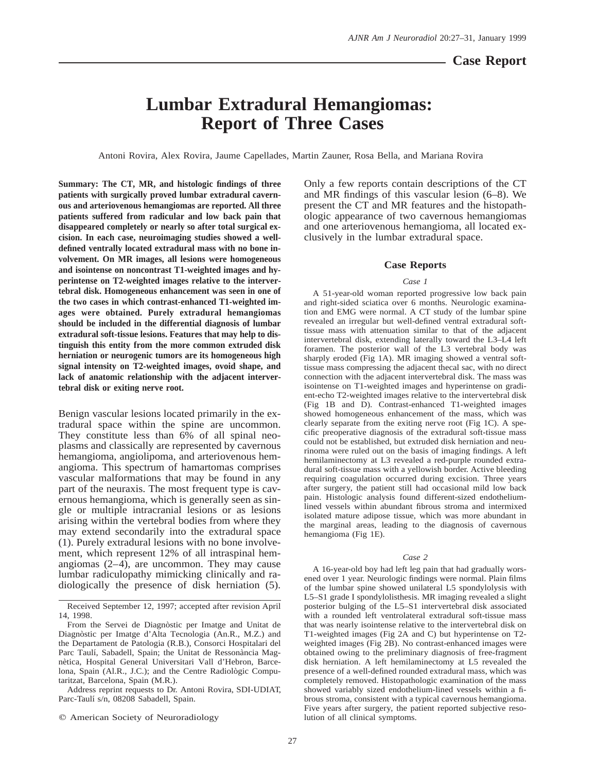## **Case Report**

# <span id="page-0-0"></span>**Lumbar Extradural Hemangiomas: Report of Three Cases**

Antoni Rovira, Alex Rovira, Jaume Capellades, Martin Zauner, Rosa Bella, and Mariana Rovira

**Summary: The CT, MR, and histologic findings of three patients with surgically proved lumbar extradural cavernous and arteriovenous hemangiomas are reported. All three patients suffered from radicular and low back pain that disappeared completely or nearly so after total surgical excision. In each case, neuroimaging studies showed a welldefined ventrally located extradural mass with no bone involvement. On MR images, all lesions were homogeneous and isointense on noncontrast T1-weighted images and hyperintense on T2-weighted images relative to the intervertebral disk. Homogeneous enhancement was seen in one of the two cases in which contrast-enhanced T1-weighted images were obtained. Purely extradural hemangiomas should be included in the differential diagnosis of lumbar extradural soft-tissue lesions. Features that may help to distinguish this entity from the more common extruded disk herniation or neurogenic tumors are its homogeneous high signal intensity on T2-weighted images, ovoid shape, and lack of anatomic relationship with the adjacent intervertebral disk or exiting nerve root.**

Benign vascular lesions located primarily in the extradural space within the spine are uncommon. They constitute less than 6% of all spinal neoplasms and classically are represented by cavernous hemangioma, angiolipoma, and arteriovenous hemangioma. This spectrum of hamartomas comprises vascular malformations that may be found in any part of the neuraxis. The most frequent type is cavernous hemangioma, which is generally seen as single or multiple intracranial lesions or as lesions arising within the vertebral bodies from where they may extend secondarily into the extradural space (1). Purely extradural lesions with no bone involvement, which represent 12% of all intraspinal hemangiomas  $(2-4)$ , are uncommon. They may cause lumbar radiculopathy mimicking clinically and radiologically the presence of disk herniation (5).

Address reprint requests to Dr. Antoni Rovira, SDI-UDIAT, Parc-Taulí s/n, 08208 Sabadell, Spain.

 $©$  American Society of Neuroradiology

Only a few reports contain descriptions of the CT and MR findings of this vascular lesion (6–8). We present the CT and MR features and the histopathologic appearance of two cavernous hemangiomas and one arteriovenous hemangioma, all located exclusively in the lumbar extradural space.

## **Case Reports**

#### *Case 1*

A 51-year-old woman reported progressive low back pain and right-sided sciatica over 6 months. Neurologic examination and EMG were normal. A CT study of the lumbar spine revealed an irregular but well-defined ventral extradural softtissue mass with attenuation similar to that of the adjacent intervertebral disk, extending laterally toward the L3–L4 left foramen. The posterior wall of the L3 vertebral body was sharply eroded (Fig 1A). MR imaging showed a ventral softtissue mass compressing the adjacent thecal sac, with no direct connection with the adjacent intervertebral disk. The mass was isointense on T1-weighted images and hyperintense on gradient-echo T2-weighted images relative to the intervertebral disk (Fig 1B and D). Contrast-enhanced T1-weighted images showed homogeneous enhancement of the mass, which was clearly separate from the exiting nerve root (Fig 1C). A specific preoperative diagnosis of the extradural soft-tissue mass could not be established, but extruded disk herniation and neurinoma were ruled out on the basis of imaging findings. A left hemilaminectomy at L3 revealed a red-purple rounded extradural soft-tissue mass with a yellowish border. Active bleeding requiring coagulation occurred during excision. Three years after surgery, the patient still had occasional mild low back pain. Histologic analysis found different-sized endotheliumlined vessels within abundant fibrous stroma and intermixed isolated mature adipose tissue, which was more abundant in the marginal areas, leading to the diagnosis of cavernous hemangioma (Fig 1E).

#### *Case 2*

A 16-year-old boy had left leg pain that had gradually worsened over 1 year. Neurologic findings were normal. Plain films of the lumbar spine showed unilateral L5 spondylolysis with L5–S1 grade I spondylolisthesis. MR imaging revealed a slight posterior bulging of the L5–S1 intervertebral disk associated with a rounded left ventrolateral extradural soft-tissue mass that was nearly isointense relative to the intervertebral disk on T1-weighted images (Fig 2A and C) but hyperintense on T2 weighted images (Fig 2B). No contrast-enhanced images were obtained owing to the preliminary diagnosis of free-fragment disk herniation. A left hemilaminectomy at L5 revealed the presence of a well-defined rounded extradural mass, which was completely removed. Histopathologic examination of the mass showed variably sized endothelium-lined vessels within a fibrous stroma, consistent with a typical cavernous hemangioma. Five years after surgery, the patient reported subjective resolution of all clinical symptoms.

Received September 12, 1997; accepted after revision April 14, 1998.

From the Servei de Diagnòstic per Imatge and Unitat de Diagnòstic per Imatge d'Alta Tecnologia (An.R., M.Z.) and the Departament de Patologia (R.B.), Consorci Hospitalari del Parc Taulí, Sabadell, Spain; the Unitat de Ressonància Magnètica, Hospital General Universitari Vall d'Hebron, Barcelona, Spain (Al.R., J.C.); and the Centre Radiològic Computaritzat, Barcelona, Spain (M.R.).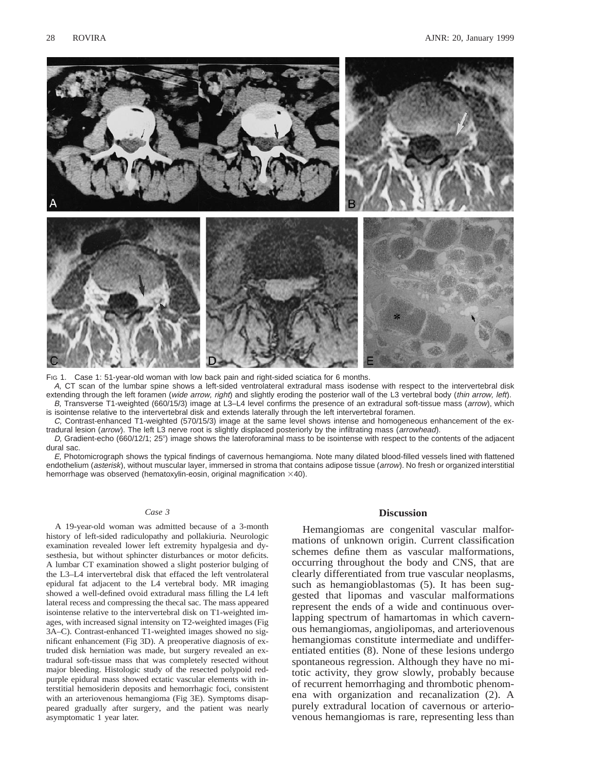

FIG 1. Case 1: 51-year-old woman with low back pain and right-sided sciatica for 6 months.

A, CT scan of the lumbar spine shows a left-sided ventrolateral extradural mass isodense with respect to the intervertebral disk extending through the left foramen (wide arrow, right) and slightly eroding the posterior wall of the L3 vertebral body (thin arrow, left). B, Transverse T1-weighted (660/15/3) image at L3–L4 level confirms the presence of an extradural soft-tissue mass (arrow), which

is isointense relative to the intervertebral disk and extends laterally through the left intervertebral foramen. C, Contrast-enhanced T1-weighted (570/15/3) image at the same level shows intense and homogeneous enhancement of the extradural lesion (arrow). The left L3 nerve root is slightly displaced posteriorly by the infiltrating mass (arrowhead).

D, Gradient-echo (660/12/1; 25°) image shows the lateroforaminal mass to be isointense with respect to the contents of the adjacent dural sac.

E, Photomicrograph shows the typical findings of cavernous hemangioma. Note many dilated blood-filled vessels lined with flattened endothelium (asterisk), without muscular layer, immersed in stroma that contains adipose tissue (arrow). No fresh or organized interstitial hemorrhage was observed (hematoxylin-eosin, original magnification  $\times$ 40).

## *Case 3*

A 19-year-old woman was admitted because of a 3-month history of left-sided radiculopathy and pollakiuria. Neurologic examination revealed lower left extremity hypalgesia and dysesthesia, but without sphincter disturbances or motor deficits. A lumbar CT examination showed a slight posterior bulging of the L3–L4 intervertebral disk that effaced the left ventrolateral epidural fat adjacent to the L4 vertebral body. MR imaging showed a well-defined ovoid extradural mass filling the L4 left lateral recess and compressing the thecal sac. The mass appeared isointense relative to the intervertebral disk on T1-weighted images, with increased signal intensity on T2-weighted images (Fig 3A–C). Contrast-enhanced T1-weighted images showed no significant enhancement (Fig 3D). A preoperative diagnosis of extruded disk herniation was made, but surgery revealed an extradural soft-tissue mass that was completely resected without major bleeding. Histologic study of the resected polypoid redpurple epidural mass showed ectatic vascular elements with interstitial hemosiderin deposits and hemorrhagic foci, consistent with an arteriovenous hemangioma (Fig 3E). Symptoms disappeared gradually after surgery, and the patient was nearly asymptomatic 1 year later.

## **Discussion**

Hemangiomas are congenital vascular malformations of unknown origin. Current classification schemes define them as vascular malformations, occurring throughout the body and CNS, that are clearly differentiated from true vascular neoplasms, such as hemangioblastomas (5). It has been suggested that lipomas and vascular malformations represent the ends of a wide and continuous overlapping spectrum of hamartomas in which cavernous hemangiomas, angiolipomas, and arteriovenous hemangiomas constitute intermediate and undifferentiated entities (8). None of these lesions undergo spontaneous regression. Although they have no mitotic activity, they grow slowly, probably because of recurrent hemorrhaging and thrombotic phenomena with organization and recanalization (2). A purely extradural location of cavernous or arteriovenous hemangiomas is rare, representing less than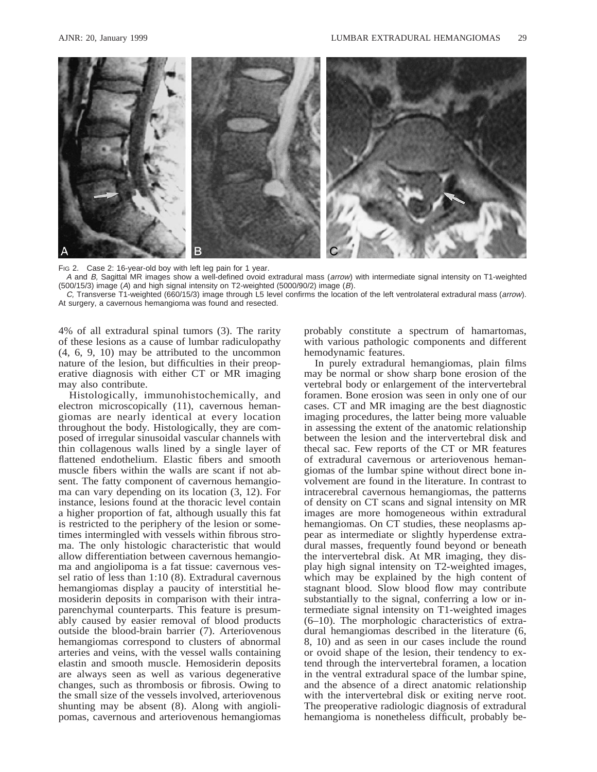

FIG 2. Case 2: 16-year-old boy with left leg pain for 1 year.

A and B, Sagittal MR images show a well-defined ovoid extradural mass (arrow) with intermediate signal intensity on T1-weighted (500/15/3) image (A) and high signal intensity on T2-weighted (5000/90/2) image (B).

C, Transverse T1-weighted (660/15/3) image through L5 level confirms the location of the left ventrolateral extradural mass (arrow). At surgery, a cavernous hemangioma was found and resected.

4% of all extradural spinal tumors (3). The rarity of these lesions as a cause of lumbar radiculopathy (4, 6, 9, 10) may be attributed to the uncommon nature of the lesion, but difficulties in their preoperative diagnosis with either CT or MR imaging may also contribute.

Histologically, immunohistochemically, and electron microscopically (11), cavernous hemangiomas are nearly identical at every location throughout the body. Histologically, they are composed of irregular sinusoidal vascular channels with thin collagenous walls lined by a single layer of flattened endothelium. Elastic fibers and smooth muscle fibers within the walls are scant if not absent. The fatty component of cavernous hemangioma can vary depending on its location (3, 12). For instance, lesions found at the thoracic level contain a higher proportion of fat, although usually this fat is restricted to the periphery of the lesion or sometimes intermingled with vessels within fibrous stroma. The only histologic characteristic that would allow differentiation between cavernous hemangioma and angiolipoma is a fat tissue: cavernous vessel ratio of less than 1:10 (8). Extradural cavernous hemangiomas display a paucity of interstitial hemosiderin deposits in comparison with their intraparenchymal counterparts. This feature is presumably caused by easier removal of blood products outside the blood-brain barrier (7). Arteriovenous hemangiomas correspond to clusters of abnormal arteries and veins, with the vessel walls containing elastin and smooth muscle. Hemosiderin deposits are always seen as well as various degenerative changes, such as thrombosis or fibrosis. Owing to the small size of the vessels involved, arteriovenous shunting may be absent (8). Along with angiolipomas, cavernous and arteriovenous hemangiomas probably constitute a spectrum of hamartomas, with various pathologic components and different hemodynamic features.

In purely extradural hemangiomas, plain films may be normal or show sharp bone erosion of the vertebral body or enlargement of the intervertebral foramen. Bone erosion was seen in only one of our cases. CT and MR imaging are the best diagnostic imaging procedures, the latter being more valuable in assessing the extent of the anatomic relationship between the lesion and the intervertebral disk and thecal sac. Few reports of the CT or MR features of extradural cavernous or arteriovenous hemangiomas of the lumbar spine without direct bone involvement are found in the literature. In contrast to intracerebral cavernous hemangiomas, the patterns of density on CT scans and signal intensity on MR images are more homogeneous within extradural hemangiomas. On CT studies, these neoplasms appear as intermediate or slightly hyperdense extradural masses, frequently found beyond or beneath the intervertebral disk. At MR imaging, they display high signal intensity on T2-weighted images, which may be explained by the high content of stagnant blood. Slow blood flow may contribute substantially to the signal, conferring a low or intermediate signal intensity on T1-weighted images (6–10). The morphologic characteristics of extradural hemangiomas described in the literature (6, 8, 10) and as seen in our cases include the round or ovoid shape of the lesion, their tendency to extend through the intervertebral foramen, a location in the ventral extradural space of the lumbar spine, and the absence of a direct anatomic relationship with the intervertebral disk or exiting nerve root. The preoperative radiologic diagnosis of extradural hemangioma is nonetheless difficult, probably be-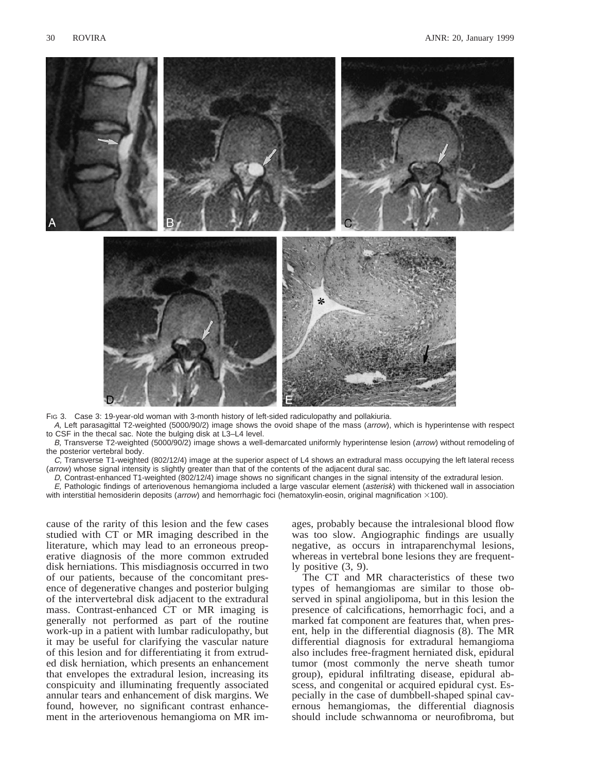

FIG 3. Case 3: 19-year-old woman with 3-month history of left-sided radiculopathy and pollakiuria.

A, Left parasagittal T2-weighted (5000/90/2) image shows the ovoid shape of the mass (arrow), which is hyperintense with respect to CSF in the thecal sac. Note the bulging disk at L3–L4 level.

B, Transverse T2-weighted (5000/90/2) image shows a well-demarcated uniformly hyperintense lesion (arrow) without remodeling of the posterior vertebral body.

C, Transverse T1-weighted (802/12/4) image at the superior aspect of L4 shows an extradural mass occupying the left lateral recess (arrow) whose signal intensity is slightly greater than that of the contents of the adjacent dural sac.

D, Contrast-enhanced T1-weighted (802/12/4) image shows no significant changes in the signal intensity of the extradural lesion.

E, Pathologic findings of arteriovenous hemangioma included a large vascular element (asterisk) with thickened wall in association with interstitial hemosiderin deposits (*arrow*) and hemorrhagic foci (hematoxylin-eosin, original magnification  $\times$ 100).

cause of the rarity of this lesion and the few cases studied with CT or MR imaging described in the literature, which may lead to an erroneous preoperative diagnosis of the more common extruded disk herniations. This misdiagnosis occurred in two of our patients, because of the concomitant presence of degenerative changes and posterior bulging of the intervertebral disk adjacent to the extradural mass. Contrast-enhanced CT or MR imaging is generally not performed as part of the routine work-up in a patient with lumbar radiculopathy, but it may be useful for clarifying the vascular nature of this lesion and for differentiating it from extruded disk herniation, which presents an enhancement that envelopes the extradural lesion, increasing its conspicuity and illuminating frequently associated annular tears and enhancement of disk margins. We found, however, no significant contrast enhancement in the arteriovenous hemangioma on MR im-

ages, probably because the intralesional blood flow was too slow. Angiographic findings are usually negative, as occurs in intraparenchymal lesions, whereas in vertebral bone lesions they are frequently positive (3, 9).

The CT and MR characteristics of these two types of hemangiomas are similar to those observed in spinal angiolipoma, but in this lesion the presence of calcifications, hemorrhagic foci, and a marked fat component are features that, when present, help in the differential diagnosis (8). The MR differential diagnosis for extradural hemangioma also includes free-fragment herniated disk, epidural tumor (most commonly the nerve sheath tumor group), epidural infiltrating disease, epidural abscess, and congenital or acquired epidural cyst. Especially in the case of dumbbell-shaped spinal cavernous hemangiomas, the differential diagnosis should include schwannoma or neurofibroma, but